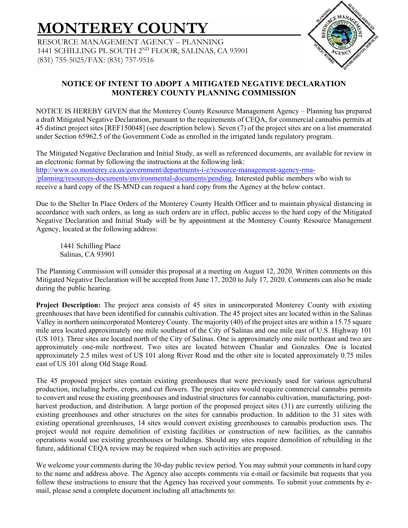# **MONTEREY COUNTY**

RESOURCE MANAGEMENT AGENCY – PLANNING 1441 SCHILLING PL SOUTH 2ND FLOOR, SALINAS, CA 93901 (831) 755-5025/FAX: (831) 757-9516



## **NOTICE OF INTENT TO ADOPT A MITIGATED NEGATIVE DECLARATION MONTEREY COUNTY PLANNING COMMISSION**

NOTICE IS HEREBY GIVEN that the Monterey County Resource Management Agency – Planning has prepared a draft Mitigated Negative Declaration, pursuant to the requirements of CEQA, for commercial cannabis permits at 45 distinct project sites [REF150048] (see description below). Seven (7) of the project sites are on a list enumerated under Section 65962.5 of the Government Code as enrolled in the irrigated lands regulatory program.

The Mitigated Negative Declaration and Initial Study, as well as referenced documents, are available for review in an electronic format by following the instructions at the following link: http://www.co.monterey.ca.us/government/departments-i-z/resource-management-agency-rma- /planning/resources-documents/environmental-documents/pending. Interested public members who wish to receive a hard copy of the IS-MND can request a hard copy from the Agency at the below contact.

Due to the Shelter In Place Orders of the Monterey County Health Officer and to maintain physical distancing in accordance with such orders, as long as such orders are in effect, public access to the hard copy of the Mitigated Negative Declaration and Initial Study will be by appointment at the Monterey County Resource Management Agency, located at the following address:

1441 Schilling Place Salinas, CA 93901

The Planning Commission will consider this proposal at a meeting on August 12, 2020. Written comments on this Mitigated Negative Declaration will be accepted from June 17, 2020 to July 17, 2020. Comments can also be made during the public hearing.

**Project Description:** The project area consists of 45 sites in unincorporated Monterey County with existing greenhouses that have been identified for cannabis cultivation. The 45 project sites are located within in the Salinas Valley in northern unincorporated Monterey County. The majority (40) of the project sites are within a 15.75 square mile area located approximately one mile southeast of the City of Salinas and one mile east of U.S. Highway 101 (US 101). Three sites are located north of the City of Salinas. One is approximately one mile northeast and two are approximately one-mile northwest. Two sites are located between Chualar and Gonzales. One is located approximately 2.5 miles west of US 101 along River Road and the other site is located approximately 0.75 miles east of US 101 along Old Stage Road.

The 45 proposed project sites contain existing greenhouses that were previously used for various agricultural production, including herbs, crops, and cut flowers. The project sites would require commercial cannabis permits to convert and reuse the existing greenhouses and industrial structures for cannabis cultivation, manufacturing, postharvest production, and distribution. A large portion of the proposed project sites (31) are currently utilizing the existing greenhouses and other structures on the sites for cannabis production. In addition to the 31 sites with existing operational greenhouses, 14 sites would convert existing greenhouses to cannabis production uses. The project would not require demolition of existing facilities or construction of new facilities, as the cannabis operations would use existing greenhouses or buildings. Should any sites require demolition of rebuilding in the future, additional CEQA review may be required when such activities are proposed.

We welcome your comments during the 30-day public review period. You may submit your comments in hard copy to the name and address above. The Agency also accepts comments via e-mail or facsimile but requests that you follow these instructions to ensure that the Agency has received your comments. To submit your comments by email, please send a complete document including all attachments to: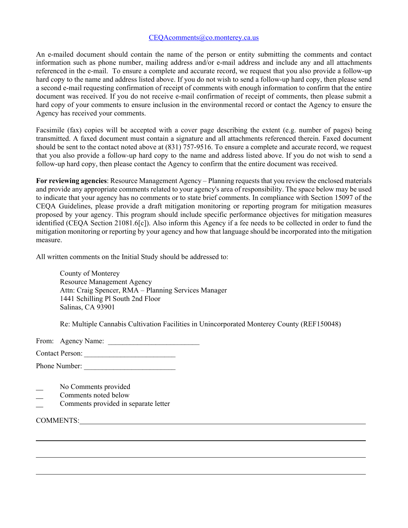#### CEQAcomments@co.monterey.ca.us

An e-mailed document should contain the name of the person or entity submitting the comments and contact information such as phone number, mailing address and/or e-mail address and include any and all attachments referenced in the e-mail. To ensure a complete and accurate record, we request that you also provide a follow-up hard copy to the name and address listed above. If you do not wish to send a follow-up hard copy, then please send a second e-mail requesting confirmation of receipt of comments with enough information to confirm that the entire document was received. If you do not receive e-mail confirmation of receipt of comments, then please submit a hard copy of your comments to ensure inclusion in the environmental record or contact the Agency to ensure the Agency has received your comments.

Facsimile (fax) copies will be accepted with a cover page describing the extent (e.g. number of pages) being transmitted. A faxed document must contain a signature and all attachments referenced therein. Faxed document should be sent to the contact noted above at (831) 757-9516. To ensure a complete and accurate record, we request that you also provide a follow-up hard copy to the name and address listed above. If you do not wish to send a follow-up hard copy, then please contact the Agency to confirm that the entire document was received.

**For reviewing agencies**: Resource Management Agency – Planning requests that you review the enclosed materials and provide any appropriate comments related to your agency's area of responsibility. The space below may be used to indicate that your agency has no comments or to state brief comments. In compliance with Section 15097 of the CEQA Guidelines, please provide a draft mitigation monitoring or reporting program for mitigation measures proposed by your agency. This program should include specific performance objectives for mitigation measures identified (CEQA Section 21081.6[c]). Also inform this Agency if a fee needs to be collected in order to fund the mitigation monitoring or reporting by your agency and how that language should be incorporated into the mitigation measure.

All written comments on the Initial Study should be addressed to:

County of Monterey Resource Management Agency Attn: Craig Spencer, RMA – Planning Services Manager 1441 Schilling Pl South 2nd Floor Salinas, CA 93901

Re: Multiple Cannabis Cultivation Facilities in Unincorporated Monterey County (REF150048)

From: Agency Name:

| <b>Contact Person:</b> |  |
|------------------------|--|
|------------------------|--|

Phone Number:

- No Comments provided
- Comments noted below
- Comments provided in separate letter

COMMENTS: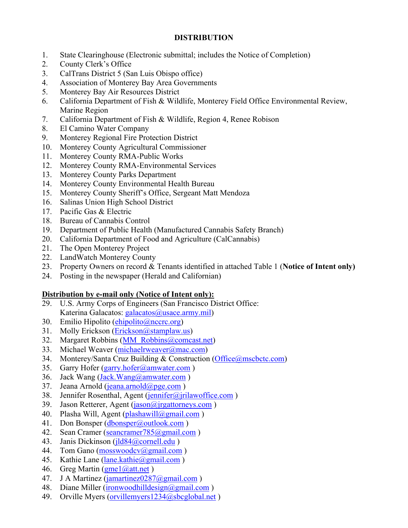### **DISTRIBUTION**

- 1. State Clearinghouse (Electronic submittal; includes the Notice of Completion)
- 2. County Clerk's Office
- 3. CalTrans District 5 (San Luis Obispo office)
- 4. Association of Monterey Bay Area Governments
- 5. Monterey Bay Air Resources District
- 6. California Department of Fish & Wildlife, Monterey Field Office Environmental Review, Marine Region
- 7. California Department of Fish & Wildlife, Region 4, Renee Robison
- 8. El Camino Water Company
- 9. Monterey Regional Fire Protection District
- 10. Monterey County Agricultural Commissioner
- 11. Monterey County RMA-Public Works
- 12. Monterey County RMA-Environmental Services
- 13. Monterey County Parks Department
- 14. Monterey County Environmental Health Bureau
- 15. Monterey County Sheriff's Office, Sergeant Matt Mendoza
- 16. Salinas Union High School District
- 17. Pacific Gas & Electric
- 18. Bureau of Cannabis Control
- 19. Department of Public Health (Manufactured Cannabis Safety Branch)
- 20. California Department of Food and Agriculture (CalCannabis)
- 21. The Open Monterey Project
- 22. LandWatch Monterey County
- 23. Property Owners on record & Tenants identified in attached Table 1 (**Notice of Intent only)**
- 24. Posting in the newspaper (Herald and Californian)

## **Distribution by e-mail only (Notice of Intent only):**

- 29. U.S. Army Corps of Engineers (San Francisco District Office: Katerina Galacatos: galacatos@usace.army.mil)
- 30. Emilio Hipolito  $\left(\frac{\text{ehipolito}(a)\text{ncerc.org}}{\text{cheb}}\right)$
- 31. Molly Erickson (Erickson @stamplaw.us)
- 32. Margaret Robbins (MM\_Robbins@comcast.net)
- 33. Michael Weaver (michaelrweaver@mac.com)
- 34. Monterey/Santa Cruz Building & Construction (Office@mscbctc.com)
- 35. Garry Hofer (garry.hofer@amwater.com)
- 36. Jack Wang (Jack.Wang@amwater.com )
- 37. Jeana Arnold (jeana.arnold $(\partial \text{pge.com})$ )
- 38. Jennifer Rosenthal, Agent (jennifer@jrilawoffice.com)
- 39. Jason Retterer, Agent (jason@jrgattorneys.com )
- 40. Plasha Will, Agent (plashawill $(\partial \text{gmail.com})$ )
- 41. Don Bonsper (dbonsper@outlook.com)
- 42. Sean Cramer (seancramer 785@gmail.com)
- 43. Janis Dickinson (jld84@cornell.edu)
- 44. Tom Gano (mosswoodcv@gmail.com)
- 45. Kathie Lane (lane.kathie@gmail.com)
- 46. Greg Martin  $(gme1@at1.net)$
- 47. J A Martinez (jamartinez0287@gmail.com )
- 48. Diane Miller (ironwoodhilldesign@gmail.com)
- 49. Orville Myers (orvillemyers1234@sbcglobal.net)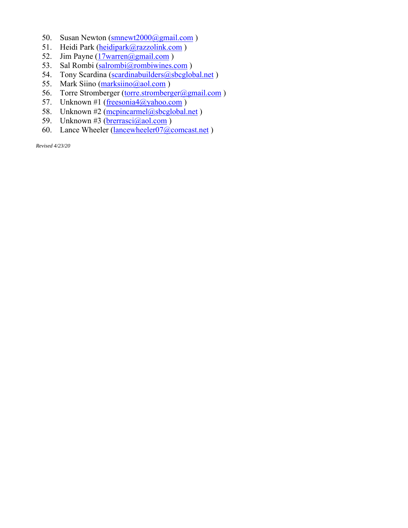- 50. Susan Newton (smnewt2000@gmail.com)
- 51. Heidi Park (heidipark@razzolink.com)
- 52. Jim Payne  $(17$ warren $\omega$ gmail.com)
- 53. Sal Rombi (salrombi@rombiwines.com)
- 54. Tony Scardina (scardinabuilders@sbcglobal.net)
- 55. Mark Siino (marksiino@aol.com)
- 56. Torre Stromberger (torre.stromberger@gmail.com)
- 57. Unknown #1 (freesonia4@yahoo.com)
- 58. Unknown #2 (mcpincarmel@sbcglobal.net)
- 59. Unknown #3 ( $\frac{b \cdot \text{r} \cdot \text{r} \cdot a}{\text{r} \cdot a}$ )
- 60. Lance Wheeler (lancewheeler07@comcast.net)

*Revised 4/23/20*